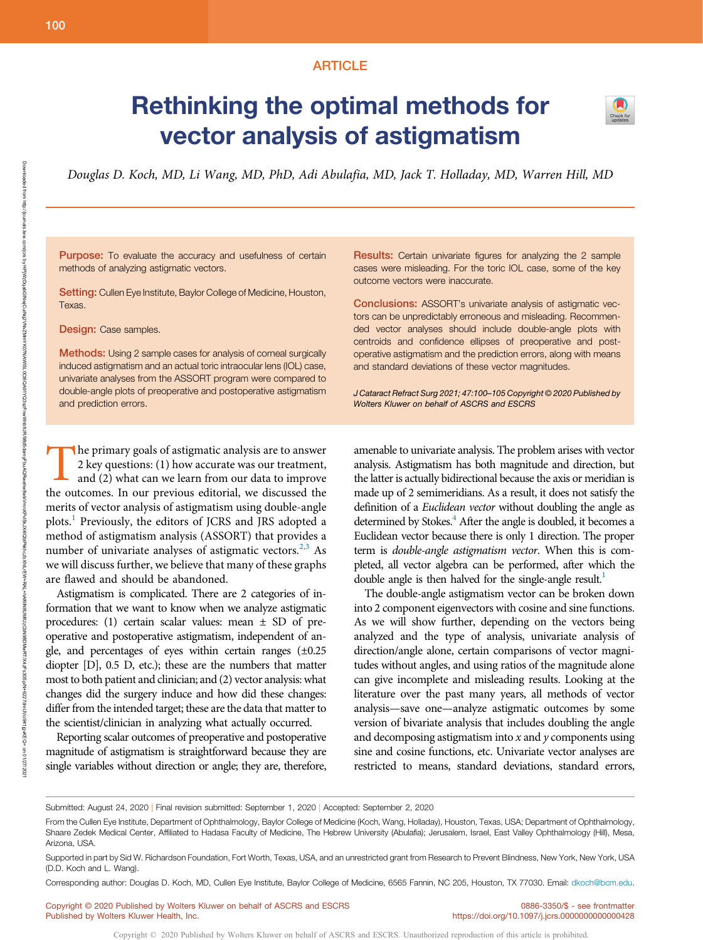## ARTICLE

# Rethinking the optimal methods for vector analysis of astigmatism



Douglas D. Koch, MD, Li Wang, MD, PhD, Adi Abulafia, MD, Jack T. Holladay, MD, Warren Hill, MD

Purpose: To evaluate the accuracy and usefulness of certain methods of analyzing astigmatic vectors.

Setting: Cullen Eye Institute, Baylor College of Medicine, Houston, Texas.

Design: Case samples.

**Methods:** Using 2 sample cases for analysis of corneal surgically induced astigmatism and an actual toric intraocular lens (IOL) case, univariate analyses from the ASSORT program were compared to double-angle plots of preoperative and postoperative astigmatism and prediction errors.

The primary goals of astigmatic analysis are to answer<br>
2 key questions: (1) how accurate was our treatment,<br>
and (2) what can we learn from our data to improve<br>
the outcomes In our provious editorial we discussed the 2 key questions: (1) how accurate was our treatment, and (2) what can we learn from our data to improve the outcomes. In our previous editorial, we discussed the merits of vector analysis of astigmatism using double-angle plots.<sup>1</sup> Previously, the editors of JCRS and JRS adopted a method of astigmatism analysis (ASSORT) that provides a number of univariate analyses of astigmatic vectors.<sup>2,3</sup> As we will discuss further, we believe that many of these graphs are flawed and should be abandoned.

Astigmatism is complicated. There are 2 categories of information that we want to know when we analyze astigmatic procedures: (1) certain scalar values: mean ± SD of preoperative and postoperative astigmatism, independent of angle, and percentages of eyes within certain ranges (±0.25 diopter [D], 0.5 D, etc.); these are the numbers that matter most to both patient and clinician; and (2) vector analysis: what changes did the surgery induce and how did these changes: differ from the intended target; these are the data that matter to the scientist/clinician in analyzing what actually occurred.

Reporting scalar outcomes of preoperative and postoperative magnitude of astigmatism is straightforward because they are single variables without direction or angle; they are, therefore, Results: Certain univariate figures for analyzing the 2 sample cases were misleading. For the toric IOL case, some of the key outcome vectors were inaccurate.

Conclusions: ASSORT's univariate analysis of astigmatic vectors can be unpredictably erroneous and misleading. Recommended vector analyses should include double-angle plots with centroids and confidence ellipses of preoperative and postoperative astigmatism and the prediction errors, along with means and standard deviations of these vector magnitudes.

J Cataract Refract Surg 2021; 47:100–105 Copyright © 2020 Published by Wolters Kluwer on behalf of ASCRS and ESCRS

amenable to univariate analysis. The problem arises with vector analysis. Astigmatism has both magnitude and direction, but the latter is actually bidirectional because the axis or meridian is made up of 2 semimeridians. As a result, it does not satisfy the definition of a Euclidean vector without doubling the angle as determined by Stokes.<sup>4</sup> After the angle is doubled, it becomes a Euclidean vector because there is only 1 direction. The proper term is double-angle astigmatism vector. When this is completed, all vector algebra can be performed, after which the double angle is then halved for the single-angle result.<sup>1</sup>

The double-angle astigmatism vector can be broken down into 2 component eigenvectors with cosine and sine functions. As we will show further, depending on the vectors being analyzed and the type of analysis, univariate analysis of direction/angle alone, certain comparisons of vector magnitudes without angles, and using ratios of the magnitude alone can give incomplete and misleading results. Looking at the literature over the past many years, all methods of vector analysis—save one—analyze astigmatic outcomes by some version of bivariate analysis that includes doubling the angle and decomposing astigmatism into  $x$  and  $y$  components using sine and cosine functions, etc. Univariate vector analyses are restricted to means, standard deviations, standard errors,

Submitted: August 24, 2020 | Final revision submitted: September 1, 2020 | Accepted: September 2, 2020

Corresponding author: Douglas D. Koch, MD, Cullen Eye Institute, Baylor College of Medicine, 6565 Fannin, NC 205, Houston, TX 77030. Email: [dkoch@bcm.edu](mailto:dkoch@bcm.edu).

Copyright © 2020 Published by Wolters Kluwer on behalf of ASCRS and ESCRS Published by Wolters Kluwer Health, Inc.

From the Cullen Eye Institute, Department of Ophthalmology, Baylor College of Medicine (Koch, Wang, Holladay), Houston, Texas, USA; Department of Ophthalmology, Shaare Zedek Medical Center, Affiliated to Hadasa Faculty of Medicine, The Hebrew University (Abulafia); Jerusalem, Israel, East Valley Ophthalmology (Hill), Mesa, Arizona, USA.

Supported in part by Sid W. Richardson Foundation, Fort Worth, Texas, USA, and an unrestricted grant from Research to Prevent Blindness, New York, New York, USA (D.D. Koch and L. Wang).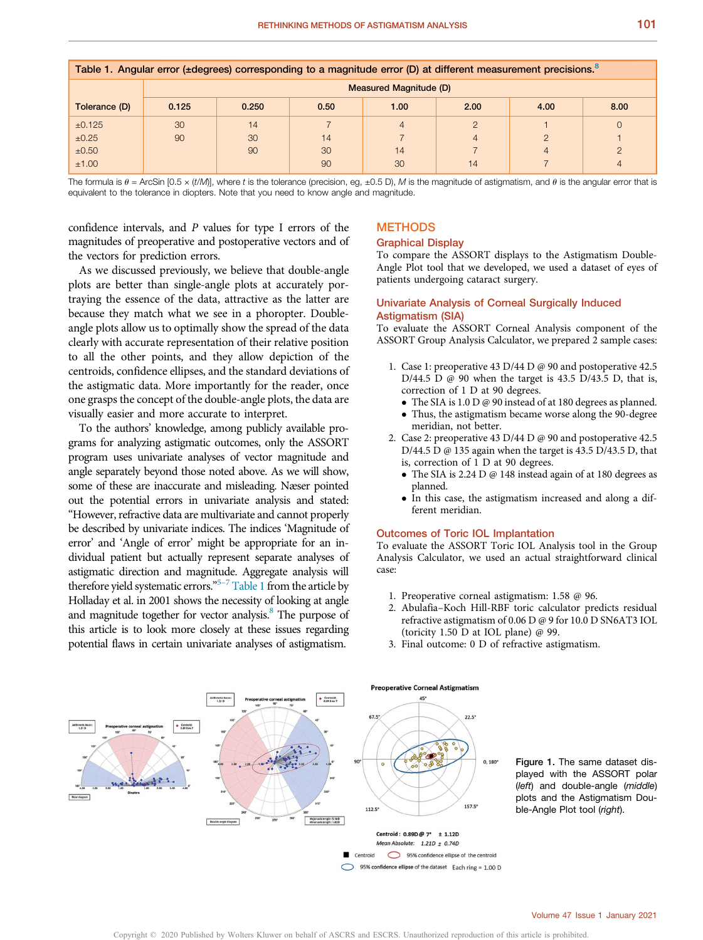| Table 1. Angular error (±degrees) corresponding to a magnitude error (D) at different measurement precisions. <sup>8</sup> |                               |       |      |                |               |                |          |
|----------------------------------------------------------------------------------------------------------------------------|-------------------------------|-------|------|----------------|---------------|----------------|----------|
|                                                                                                                            | <b>Measured Magnitude (D)</b> |       |      |                |               |                |          |
| Tolerance (D)                                                                                                              | 0.125                         | 0.250 | 0.50 | 1.00           | 2.00          | 4.00           | 8.00     |
| ±0.125                                                                                                                     | 30                            | 14    |      | $\overline{4}$ | $\mathcal{D}$ |                | $\Omega$ |
| ±0.25                                                                                                                      | 90                            | 30    | 14   |                | $\Delta$      | $\overline{2}$ |          |
| ±0.50                                                                                                                      |                               | 90    | 30   | 14             |               | 4              |          |
| ±1.00                                                                                                                      |                               |       | 90   | 30             | 14            |                |          |

The formula is  $\theta =$  ArcSin [0.5 x (t/M)], where t is the tolerance (precision, eg,  $\pm$ 0.5 D), M is the magnitude of astigmatism, and  $\theta$  is the angular error that is equivalent to the tolerance in diopters. Note that you need to know angle and magnitude.

confidence intervals, and P values for type I errors of the magnitudes of preoperative and postoperative vectors and of the vectors for prediction errors.

As we discussed previously, we believe that double-angle plots are better than single-angle plots at accurately portraying the essence of the data, attractive as the latter are because they match what we see in a phoropter. Doubleangle plots allow us to optimally show the spread of the data clearly with accurate representation of their relative position to all the other points, and they allow depiction of the centroids, confidence ellipses, and the standard deviations of the astigmatic data. More importantly for the reader, once one grasps the concept of the double-angle plots, the data are visually easier and more accurate to interpret.

To the authors' knowledge, among publicly available programs for analyzing astigmatic outcomes, only the ASSORT program uses univariate analyses of vector magnitude and angle separately beyond those noted above. As we will show, some of these are inaccurate and misleading. Næser pointed out the potential errors in univariate analysis and stated: "However, refractive data are multivariate and cannot properly be described by univariate indices. The indices 'Magnitude of error' and 'Angle of error' might be appropriate for an individual patient but actually represent separate analyses of astigmatic direction and magnitude. Aggregate analysis will therefore yield systematic errors."<sup>5-7</sup> Table 1 from the article by Holladay et al. in 2001 shows the necessity of looking at angle and magnitude together for vector analysis.<sup>8</sup> The purpose of this article is to look more closely at these issues regarding potential flaws in certain univariate analyses of astigmatism.

## **METHODS**

## Graphical Display

To compare the ASSORT displays to the Astigmatism Double-Angle Plot tool that we developed, we used a dataset of eyes of patients undergoing cataract surgery.

## Univariate Analysis of Corneal Surgically Induced Astigmatism (SIA)

To evaluate the ASSORT Corneal Analysis component of the ASSORT Group Analysis Calculator, we prepared 2 sample cases:

- 1. Case 1: preoperative 43 D/44 D @ 90 and postoperative 42.5 D/44.5 D @ 90 when the target is 43.5 D/43.5 D, that is, correction of 1 D at 90 degrees.
	- The SIA is 1.0 D @ 90 instead of at 180 degrees as planned.
	- Thus, the astigmatism became worse along the 90-degree meridian, not better.
- 2. Case 2: preoperative 43 D/44 D @ 90 and postoperative 42.5 D/44.5 D @ 135 again when the target is 43.5 D/43.5 D, that is, correction of 1 D at 90 degrees.
	- The SIA is 2.24 D @ 148 instead again of at 180 degrees as planned.
	- In this case, the astigmatism increased and along a different meridian.

## Outcomes of Toric IOL Implantation

To evaluate the ASSORT Toric IOL Analysis tool in the Group Analysis Calculator, we used an actual straightforward clinical case:

- 1. Preoperative corneal astigmatism: 1.58 @ 96.
- 2. Abulafia–Koch Hill-RBF toric calculator predicts residual refractive astigmatism of 0.06 D @ 9 for 10.0 D SN6AT3 IOL (toricity 1.50 D at IOL plane) @ 99.
- 3. Final outcome: 0 D of refractive astigmatism.



Figure 1. The same dataset displayed with the ASSORT polar (left) and double-angle (middle) plots and the Astigmatism Double-Angle Plot tool (right).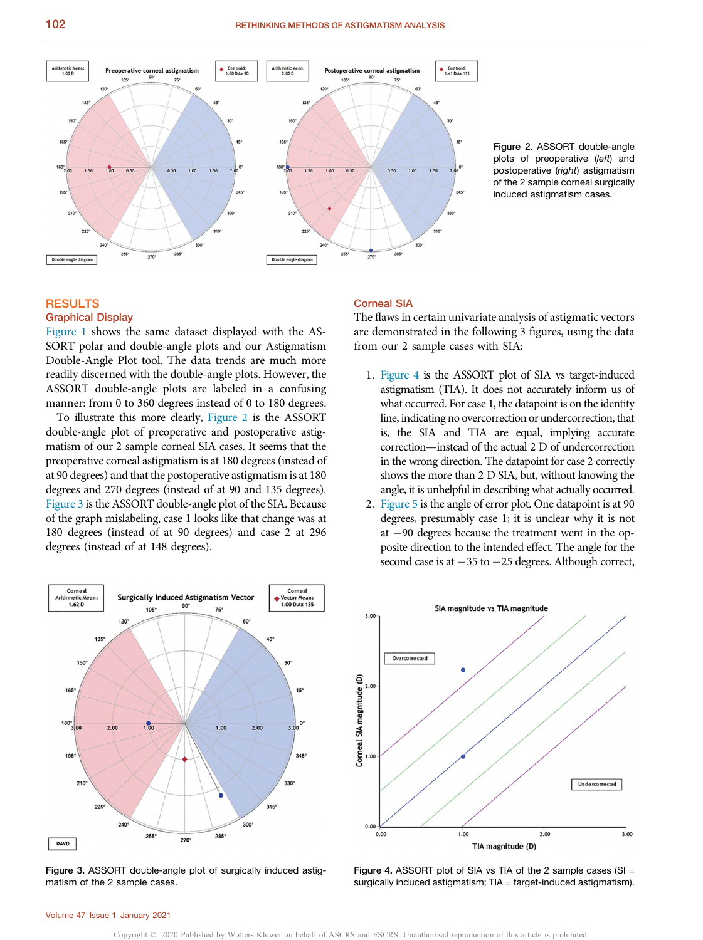



# RESULTS

## Graphical Display

Figure 1 shows the same dataset displayed with the AS-SORT polar and double-angle plots and our Astigmatism Double-Angle Plot tool. The data trends are much more readily discerned with the double-angle plots. However, the ASSORT double-angle plots are labeled in a confusing manner: from 0 to 360 degrees instead of 0 to 180 degrees.

To illustrate this more clearly, Figure 2 is the ASSORT double-angle plot of preoperative and postoperative astigmatism of our 2 sample corneal SIA cases. It seems that the preoperative corneal astigmatism is at 180 degrees (instead of at 90 degrees) and that the postoperative astigmatism is at 180 degrees and 270 degrees (instead of at 90 and 135 degrees). Figure 3 is the ASSORT double-angle plot of the SIA. Because of the graph mislabeling, case 1 looks like that change was at 180 degrees (instead of at 90 degrees) and case 2 at 296 degrees (instead of at 148 degrees).



Figure 3. ASSORT double-angle plot of surgically induced astigmatism of the 2 sample cases.

## Corneal SIA

The flaws in certain univariate analysis of astigmatic vectors are demonstrated in the following 3 figures, using the data from our 2 sample cases with SIA:

- 1. Figure 4 is the ASSORT plot of SIA vs target-induced astigmatism (TIA). It does not accurately inform us of what occurred. For case 1, the datapoint is on the identity line, indicating no overcorrection or undercorrection, that is, the SIA and TIA are equal, implying accurate correction—instead of the actual 2 D of undercorrection in the wrong direction. The datapoint for case 2 correctly shows the more than 2 D SIA, but, without knowing the angle, it is unhelpful in describing what actually occurred.
- Figure 5 is the angle of error plot. One datapoint is at 90 degrees, presumably case 1; it is unclear why it is not at  $-90$  degrees because the treatment went in the opposite direction to the intended effect. The angle for the second case is at  $-35$  to  $-25$  degrees. Although correct,



Figure 4. ASSORT plot of SIA vs TIA of the 2 sample cases (SI = surgically induced astigmatism; TIA = target-induced astigmatism).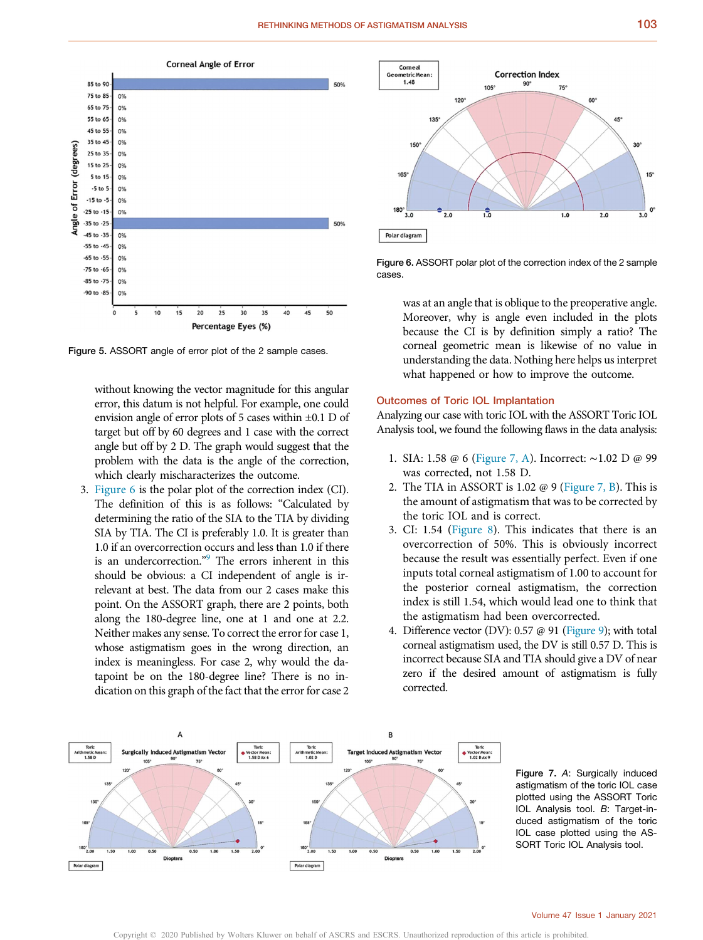

Figure 5. ASSORT angle of error plot of the 2 sample cases.

without knowing the vector magnitude for this angular error, this datum is not helpful. For example, one could envision angle of error plots of 5 cases within ±0.1 D of target but off by 60 degrees and 1 case with the correct angle but off by 2 D. The graph would suggest that the problem with the data is the angle of the correction, which clearly mischaracterizes the outcome.

3. Figure 6 is the polar plot of the correction index (CI). The definition of this is as follows: "Calculated by determining the ratio of the SIA to the TIA by dividing SIA by TIA. The CI is preferably 1.0. It is greater than 1.0 if an overcorrection occurs and less than 1.0 if there is an undercorrection."<sup>9</sup> The errors inherent in this should be obvious: a CI independent of angle is irrelevant at best. The data from our 2 cases make this point. On the ASSORT graph, there are 2 points, both along the 180-degree line, one at 1 and one at 2.2. Neither makes any sense. To correct the error for case 1, whose astigmatism goes in the wrong direction, an index is meaningless. For case 2, why would the datapoint be on the 180-degree line? There is no indication on this graph of the fact that the error for case 2



Figure 6. ASSORT polar plot of the correction index of the 2 sample cases.

was at an angle that is oblique to the preoperative angle. Moreover, why is angle even included in the plots because the CI is by definition simply a ratio? The corneal geometric mean is likewise of no value in understanding the data. Nothing here helps us interpret what happened or how to improve the outcome.

## Outcomes of Toric IOL Implantation

Analyzing our case with toric IOL with the ASSORT Toric IOL Analysis tool, we found the following flaws in the data analysis:

- 1. SIA: 1.58 @ 6 (Figure 7, A). Incorrect: ∼1.02 D @ 99 was corrected, not 1.58 D.
- 2. The TIA in ASSORT is 1.02 @ 9 (Figure 7, B). This is the amount of astigmatism that was to be corrected by the toric IOL and is correct.
- 3. CI: 1.54 (Figure 8). This indicates that there is an overcorrection of 50%. This is obviously incorrect because the result was essentially perfect. Even if one inputs total corneal astigmatism of 1.00 to account for the posterior corneal astigmatism, the correction index is still 1.54, which would lead one to think that the astigmatism had been overcorrected.
- 4. Difference vector (DV): 0.57 @ 91 (Figure 9); with total corneal astigmatism used, the DV is still 0.57 D. This is incorrect because SIA and TIA should give a DV of near zero if the desired amount of astigmatism is fully corrected.



Figure 7. A: Surgically induced astigmatism of the toric IOL case plotted using the ASSORT Toric IOL Analysis tool. B: Target-induced astigmatism of the toric IOL case plotted using the AS-SORT Toric IOL Analysis tool.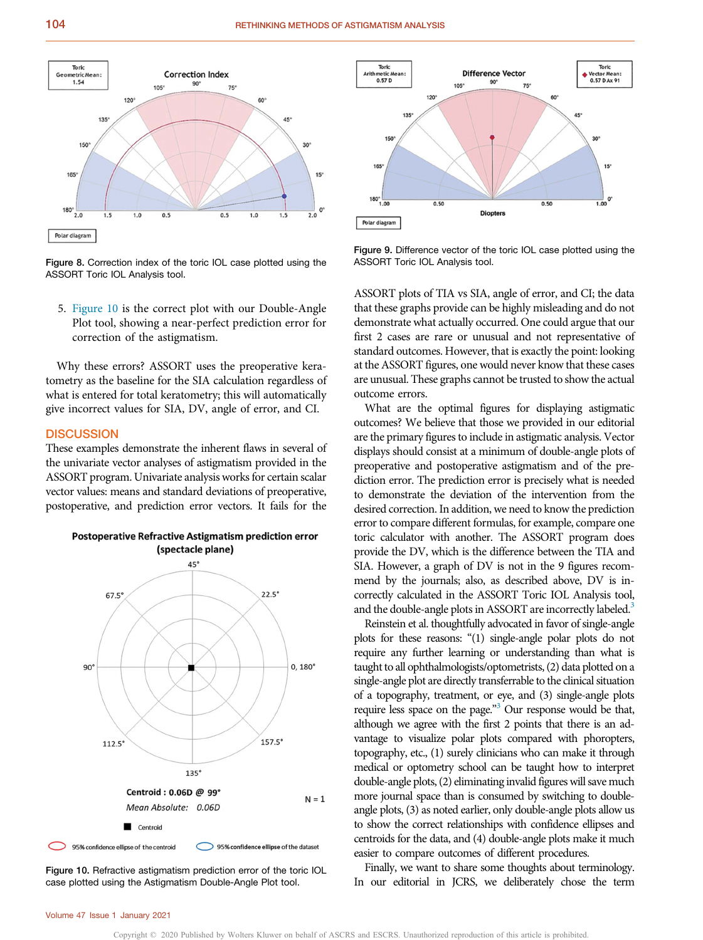

Figure 8. Correction index of the toric IOL case plotted using the ASSORT Toric IOL Analysis tool.

5. Figure 10 is the correct plot with our Double-Angle Plot tool, showing a near-perfect prediction error for correction of the astigmatism.

Why these errors? ASSORT uses the preoperative keratometry as the baseline for the SIA calculation regardless of what is entered for total keratometry; this will automatically give incorrect values for SIA, DV, angle of error, and CI.

## **DISCUSSION**

These examples demonstrate the inherent flaws in several of the univariate vector analyses of astigmatism provided in the ASSORT program. Univariate analysis works for certain scalar vector values: means and standard deviations of preoperative, postoperative, and prediction error vectors. It fails for the



Figure 10. Refractive astigmatism prediction error of the toric IOL case plotted using the Astigmatism Double-Angle Plot tool.



Figure 9. Difference vector of the toric IOL case plotted using the ASSORT Toric IOL Analysis tool.

ASSORT plots of TIA vs SIA, angle of error, and CI; the data that these graphs provide can be highly misleading and do not demonstrate what actually occurred. One could argue that our first 2 cases are rare or unusual and not representative of standard outcomes. However, that is exactly the point: looking at the ASSORT figures, one would never know that these cases are unusual. These graphs cannot be trusted to show the actual outcome errors.

What are the optimal figures for displaying astigmatic outcomes? We believe that those we provided in our editorial are the primary figures to include in astigmatic analysis. Vector displays should consist at a minimum of double-angle plots of preoperative and postoperative astigmatism and of the prediction error. The prediction error is precisely what is needed to demonstrate the deviation of the intervention from the desired correction. In addition, we need to know the prediction error to compare different formulas, for example, compare one toric calculator with another. The ASSORT program does provide the DV, which is the difference between the TIA and SIA. However, a graph of DV is not in the 9 figures recommend by the journals; also, as described above, DV is incorrectly calculated in the ASSORT Toric IOL Analysis tool, and the double-angle plots in ASSORT are incorrectly labeled.<sup>3</sup>

Reinstein et al. thoughtfully advocated in favor of single-angle plots for these reasons: "(1) single-angle polar plots do not require any further learning or understanding than what is taught to all ophthalmologists/optometrists, (2) data plotted on a single-angle plot are directly transferrable to the clinical situation of a topography, treatment, or eye, and (3) single-angle plots require less space on the page." <sup>3</sup> Our response would be that, although we agree with the first 2 points that there is an advantage to visualize polar plots compared with phoropters, topography, etc., (1) surely clinicians who can make it through medical or optometry school can be taught how to interpret double-angle plots, (2) eliminating invalid figures will save much more journal space than is consumed by switching to doubleangle plots, (3) as noted earlier, only double-angle plots allow us to show the correct relationships with confidence ellipses and centroids for the data, and (4) double-angle plots make it much easier to compare outcomes of different procedures.

Finally, we want to share some thoughts about terminology. In our editorial in JCRS, we deliberately chose the term